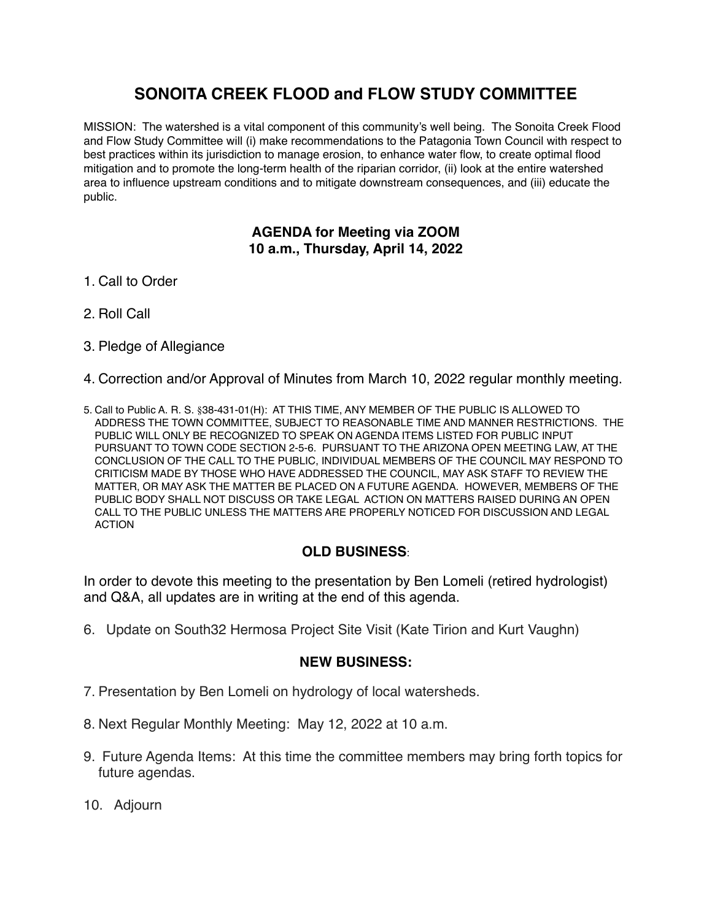# **SONOITA CREEK FLOOD and FLOW STUDY COMMITTEE**

MISSION: The watershed is a vital component of this community's well being. The Sonoita Creek Flood and Flow Study Committee will (i) make recommendations to the Patagonia Town Council with respect to best practices within its jurisdiction to manage erosion, to enhance water flow, to create optimal flood mitigation and to promote the long-term health of the riparian corridor, (ii) look at the entire watershed area to influence upstream conditions and to mitigate downstream consequences, and (iii) educate the public.

### **AGENDA for Meeting via ZOOM 10 a.m., Thursday, April 14, 2022**

- 1. Call to Order
- 2. Roll Call
- 3. Pledge of Allegiance
- 4. Correction and/or Approval of Minutes from March 10, 2022 regular monthly meeting.
- 5. Call to Public A. R. S. §38-431-01(H): AT THIS TIME, ANY MEMBER OF THE PUBLIC IS ALLOWED TO ADDRESS THE TOWN COMMITTEE, SUBJECT TO REASONABLE TIME AND MANNER RESTRICTIONS. THE PUBLIC WILL ONLY BE RECOGNIZED TO SPEAK ON AGENDA ITEMS LISTED FOR PUBLIC INPUT PURSUANT TO TOWN CODE SECTION 2-5-6. PURSUANT TO THE ARIZONA OPEN MEETING LAW, AT THE CONCLUSION OF THE CALL TO THE PUBLIC, INDIVIDUAL MEMBERS OF THE COUNCIL MAY RESPOND TO CRITICISM MADE BY THOSE WHO HAVE ADDRESSED THE COUNCIL, MAY ASK STAFF TO REVIEW THE MATTER, OR MAY ASK THE MATTER BE PLACED ON A FUTURE AGENDA. HOWEVER, MEMBERS OF THE PUBLIC BODY SHALL NOT DISCUSS OR TAKE LEGAL ACTION ON MATTERS RAISED DURING AN OPEN CALL TO THE PUBLIC UNLESS THE MATTERS ARE PROPERLY NOTICED FOR DISCUSSION AND LEGAL ACTION

### **OLD BUSINESS**:

In order to devote this meeting to the presentation by Ben Lomeli (retired hydrologist) and Q&A, all updates are in writing at the end of this agenda.

6. Update on South32 Hermosa Project Site Visit (Kate Tirion and Kurt Vaughn)

#### **NEW BUSINESS:**

- 7. Presentation by Ben Lomeli on hydrology of local watersheds.
- 8. Next Regular Monthly Meeting: May 12, 2022 at 10 a.m.
- 9. Future Agenda Items: At this time the committee members may bring forth topics for future agendas.
- 10. Adjourn